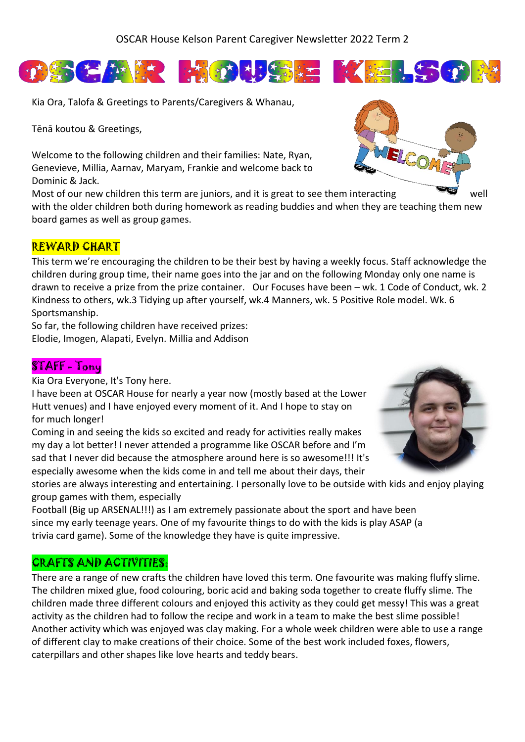

Kia Ora, Talofa & Greetings to Parents/Caregivers & Whanau,

Tēnā koutou & Greetings,

Welcome to the following children and their families: Nate, Ryan, Genevieve, Millia, Aarnav, Maryam, Frankie and welcome back to Dominic & Jack.

Most of our new children this term are juniors, and it is great to see them interacting well with the older children both during homework as reading buddies and when they are teaching them new board games as well as group games.

## REWARD CHART

This term we're encouraging the children to be their best by having a weekly focus. Staff acknowledge the children during group time, their name goes into the jar and on the following Monday only one name is drawn to receive a prize from the prize container. Our Focuses have been – wk. 1 Code of Conduct, wk. 2 Kindness to others, wk.3 Tidying up after yourself, wk.4 Manners, wk. 5 Positive Role model. Wk. 6 Sportsmanship.

So far, the following children have received prizes: Elodie, Imogen, Alapati, Evelyn. Millia and Addison

# STAFF - Tony

Kia Ora Everyone, It's Tony here.

I have been at OSCAR House for nearly a year now (mostly based at the Lower Hutt venues) and I have enjoyed every moment of it. And I hope to stay on for much longer!

Coming in and seeing the kids so excited and ready for activities really makes my day a lot better! I never attended a programme like OSCAR before and I'm sad that I never did because the atmosphere around here is so awesome!!! It's especially awesome when the kids come in and tell me about their days, their

stories are always interesting and entertaining. I personally love to be outside with kids and enjoy playing group games with them, especially

Football (Big up ARSENAL!!!) as I am extremely passionate about the sport and have been since my early teenage years. One of my favourite things to do with the kids is play ASAP (a trivia card game). Some of the knowledge they have is quite impressive.

# CRAFTS AND ACTIVITIES:

There are a range of new crafts the children have loved this term. One favourite was making fluffy slime. The children mixed glue, food colouring, boric acid and baking soda together to create fluffy slime. The children made three different colours and enjoyed this activity as they could get messy! This was a great activity as the children had to follow the recipe and work in a team to make the best slime possible! Another activity which was enjoyed was clay making. For a whole week children were able to use a range of different clay to make creations of their choice. Some of the best work included foxes, flowers, caterpillars and other shapes like love hearts and teddy bears.





1. 生活 生产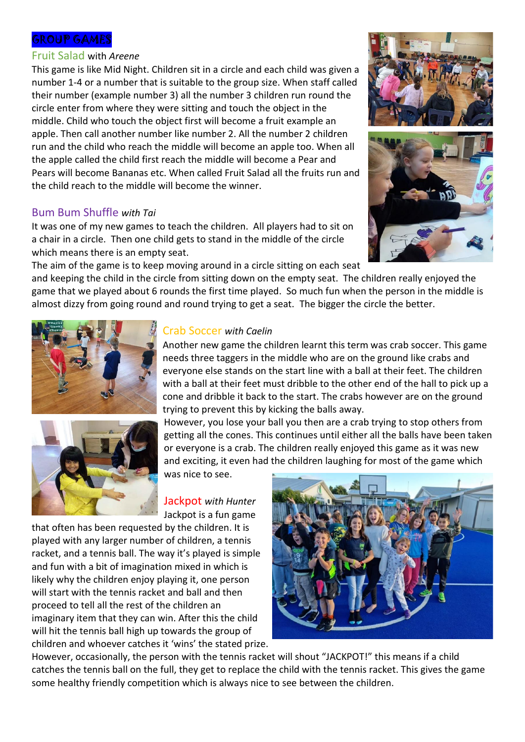### GROUP GAMES

#### Fruit Salad with *Areene*

This game is like Mid Night. Children sit in a circle and each child was given a number 1-4 or a number that is suitable to the group size. When staff called their number (example number 3) all the number 3 children run round the circle enter from where they were sitting and touch the object in the middle. Child who touch the object first will become a fruit example an apple. Then call another number like number 2. All the number 2 children run and the child who reach the middle will become an apple too. When all the apple called the child first reach the middle will become a Pear and Pears will become Bananas etc. When called Fruit Salad all the fruits run and the child reach to the middle will become the winner.

## Bum Bum Shuffle *with Tai*

It was one of my new games to teach the children. All players had to sit on a chair in a circle. Then one child gets to stand in the middle of the circle which means there is an empty seat.

The aim of the game is to keep moving around in a circle sitting on each seat

and keeping the child in the circle from sitting down on the empty seat. The children really enjoyed the game that we played about 6 rounds the first time played. So much fun when the person in the middle is almost dizzy from going round and round trying to get a seat. The bigger the circle the better.





## Crab Soccer *with Caelin*

Another new game the children learnt this term was crab soccer. This game needs three taggers in the middle who are on the ground like crabs and everyone else stands on the start line with a ball at their feet. The children with a ball at their feet must dribble to the other end of the hall to pick up a cone and dribble it back to the start. The crabs however are on the ground trying to prevent this by kicking the balls away.

However, you lose your ball you then are a crab trying to stop others from getting all the cones. This continues until either all the balls have been taken or everyone is a crab. The children really enjoyed this game as it was new and exciting, it even had the children laughing for most of the game which

was nice to see.

Jackpot *with Hunter* Jackpot is a fun game

that often has been requested by the children. It is played with any larger number of children, a tennis racket, and a tennis ball. The way it's played is simple and fun with a bit of imagination mixed in which is likely why the children enjoy playing it, one person will start with the tennis racket and ball and then proceed to tell all the rest of the children an imaginary item that they can win. After this the child will hit the tennis ball high up towards the group of children and whoever catches it 'wins' the stated prize.



However, occasionally, the person with the tennis racket will shout "JACKPOT!" this means if a child catches the tennis ball on the full, they get to replace the child with the tennis racket. This gives the game some healthy friendly competition which is always nice to see between the children.